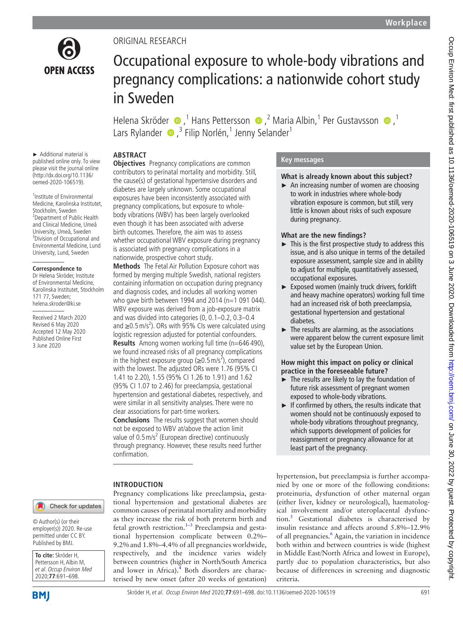

► Additional material is published online only. To view please visit the journal online [\(http://dx.doi.org/10.1136/](http://dx.doi.org/10.1136/oemed-2020-106519) [oemed-2020-106519\)](http://dx.doi.org/10.1136/oemed-2020-106519). 1 Institute of Environmental Medicine, Karolinska Institutet, Stockholm, Sweden Department of Public Health and Clinical Medicine, Umeå University, Umeå, Sweden <sup>3</sup> <sup>3</sup>Division of Occupational and Environmental Medicine, Lund University, Lund, Sweden

**Correspondence to** Dr Helena Skröder, Institute of Environmental Medicine, Karolinska Institutet, Stockholm

171 77, Sweden; helena.skroder@ki.se Received 2 March 2020 Revised 6 May 2020 Accepted 12 May 2020 Published Online First 3 June 2020

# Original research

# Occupational exposure to whole-body vibrations and pregnancy complications: a nationwide cohort study in Sweden

HelenaSkröder  $\bigcirc$ ,<sup>1</sup> Hans Pettersson  $\bigcirc$ ,<sup>2</sup> Maria Albin,<sup>1</sup> Per Gustavsson  $\bigcirc$ ,<sup>1</sup> Lars Rylander  $\bigcirc$ ,<sup>3</sup> Filip Norlén,<sup>1</sup> Jenny Selander<sup>1</sup>

# **Abstract**

**Objectives** Pregnancy complications are common contributors to perinatal mortality and morbidity. Still, the cause(s) of gestational hypertensive disorders and diabetes are largely unknown. Some occupational exposures have been inconsistently associated with pregnancy complications, but exposure to wholebody vibrations (WBV) has been largely overlooked even though it has been associated with adverse birth outcomes. Therefore, the aim was to assess whether occupational WBV exposure during pregnancy is associated with pregnancy complications in a nationwide, prospective cohort study.

**Methods** The Fetal Air Pollution Exposure cohort was formed by merging multiple Swedish, national registers containing information on occupation during pregnancy and diagnosis codes, and includes all working women who gave birth between 1994 and 2014 (n=1 091 044). WBV exposure was derived from a job-exposure matrix and was divided into categories (0, 0.1–0.2, 0.3–0.4 and  $≥0.5$  m/s<sup>2</sup>). ORs with 95% CIs were calculated using logistic regression adjusted for potential confounders. **Results** Among women working full time (n=646 490), we found increased risks of all pregnancy complications in the highest exposure group ( $\geq 0.5$  m/s<sup>2</sup>), compared with the lowest. The adjusted ORs were 1.76 (95% CI 1.41 to 2.20), 1.55 (95% CI 1.26 to 1.91) and 1.62 (95% CI 1.07 to 2.46) for preeclampsia, gestational hypertension and gestational diabetes, respectively, and were similar in all sensitivity analyses. There were no clear associations for part-time workers.

**Conclusions** The results suggest that women should not be exposed to WBV at/above the action limit value of  $0.5$  m/s<sup>2</sup> (European directive) continuously through pregnancy. However, these results need further confirmation.

Pregnancy complications like preeclampsia, gestational hypertension and gestational diabetes are common causes of perinatal mortality and morbidity as they increase the risk of both preterm birth and fetal growth restriction. $1-3$  Preeclampsia and gestational hypertension complicate between 0.2%– 9.2%and 1.8%–4.4% of all pregnancies worldwide, respectively, and the incidence varies widely between countries (higher in North/South America and lower in Africa). $<sup>4</sup>$  Both disorders are charac-</sup> terised by new onset (after 20 weeks of gestation)

## **Introduction**

Check for updates

© Author(s) (or their employer(s)) 2020. Re-use permitted under CC BY. Published by BMJ.



**BMI** 

# **Key messages**

## **What is already known about this subject?**

 $\blacktriangleright$  An increasing number of women are choosing to work in industries where whole-body vibration exposure is common, but still, very little is known about risks of such exposure during pregnancy.

# **What are the new findings?**

- ► This is the first prospective study to address this issue, and is also unique in terms of the detailed exposure assessment, sample size and in ability to adjust for multiple, quantitatively assessed, occupational exposures.
- ► Exposed women (mainly truck drivers, forklift and heavy machine operators) working full time had an increased risk of both preeclampsia, gestational hypertension and gestational diabetes.
- $\blacktriangleright$  The results are alarming, as the associations were apparent below the current exposure limit value set by the European Union.

## **How might this impact on policy or clinical practice in the foreseeable future?**

- ► The results are likely to lay the foundation of future risk assessment of pregnant women exposed to whole-body vibrations.
- $\blacktriangleright$  If confirmed by others, the results indicate that women should not be continuously exposed to whole-body vibrations throughout pregnancy, which supports development of policies for reassignment or pregnancy allowance for at least part of the pregnancy.

hypertension, but preeclampsia is further accompanied by one or more of the following conditions: proteinuria, dysfunction of other maternal organ (either liver, kidney or neurological), haematological involvement and/or uteroplacental dysfunction.[5](#page-7-2) Gestational diabetes is characterised by insulin resistance and affects around 5.8%–12.9% of all pregnancies.<sup>[6](#page-7-3)</sup> Again, the variation in incidence both within and between countries is wide (highest in Middle East/North Africa and lowest in Europe), partly due to population characteristics, but also because of differences in screening and diagnostic criteria.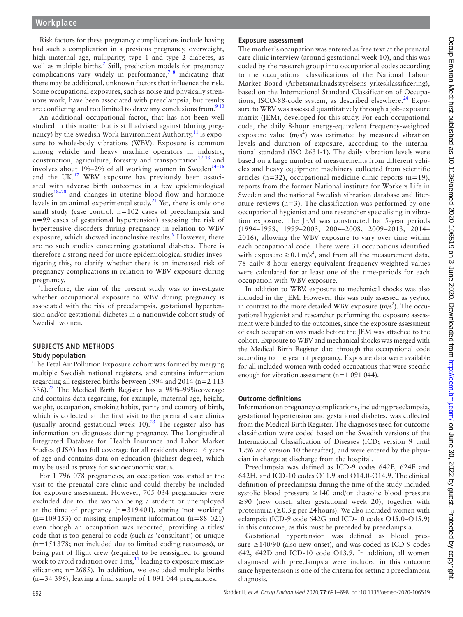Risk factors for these pregnancy complications include having had such a complication in a previous pregnancy, overweight, high maternal age, nulliparity, type 1 and type 2 diabetes, as well as multiple births.<sup>2</sup> Still, prediction models for pregnancy complications vary widely in performance,<sup>7</sup> <sup>8</sup> indicating that there may be additional, unknown factors that influence the risk. Some occupational exposures, such as noise and physically strenuous work, have been associated with preeclampsia, but results are conflicting and too limited to draw any conclusions from. $910$ 

An additional occupational factor, that has not been well studied in this matter but is still advised against (during pregnancy) by the Swedish Work Environment Authority,  $11$  is exposure to whole-body vibrations (WBV). Exposure is common among vehicle and heavy machine operators in industry, construction, agriculture, forestry and transportation<sup>12 13</sup> and involves about 1%–2% of all working women in Sweden<sup>[14–16](#page-7-9)</sup> and the UK.<sup>17</sup> WBV exposure has previously been associated with adverse birth outcomes in a few epidemiological studies<sup>18-20</sup> and changes in uterine blood flow and hormone levels in an animal experimental study.<sup>[21](#page-7-12)</sup> Yet, there is only one small study (case control,  $n=102$  cases of preeclampsia and n=99 cases of gestational hypertension) assessing the risk of hypertensive disorders during pregnancy in relation to WBV exposure, which showed inconclusive results.<sup>[9](#page-7-6)</sup> However, there are no such studies concerning gestational diabetes. There is therefore a strong need for more epidemiological studies investigating this, to clarify whether there is an increased risk of pregnancy complications in relation to WBV exposure during pregnancy.

Therefore, the aim of the present study was to investigate whether occupational exposure to WBV during pregnancy is associated with the risk of preeclampsia, gestational hypertension and/or gestational diabetes in a nationwide cohort study of Swedish women.

#### **Subjects and methods Study population**

The Fetal Air Pollution Exposure cohort was formed by merging multiple Swedish national registers, and contains information regarding all registered births between 1994 and 2014 (n=2 113 336).[22](#page-7-13) The Medical Birth Register has a 98%–99%coverage and contains data regarding, for example, maternal age, height, weight, occupation, smoking habits, parity and country of birth, which is collected at the first visit to the prenatal care clinics (usually around gestational week  $10$ ).<sup>23</sup> The register also has information on diagnoses during pregnancy. The Longitudinal Integrated Database for Health Insurance and Labor Market Studies (LISA) has full coverage for all residents above 16 years of age and contains data on education (highest degree), which may be used as proxy for socioeconomic status.

For 1 796 078 pregnancies, an occupation was stated at the visit to the prenatal care clinic and could thereby be included for exposure assessment. However, 705 034 pregnancies were excluded due to: the woman being a student or unemployed at the time of pregnancy (n=319401), stating 'not working'  $(n=109153)$  or missing employment information  $(n=88021)$ even though an occupation was reported, providing a titles/ code that is too general to code (such as 'consultant') or unique (n=151378; not included due to limited coding resources), or being part of flight crew (required to be reassigned to ground work to avoid radiation over  $1 \text{ ms}$ ,<sup>[11](#page-7-7)</sup> leading to exposure misclassification;  $n=2685$ ). In addition, we excluded multiple births  $(n=34 396)$ , leaving a final sample of 1 091 044 pregnancies.

#### **Exposure assessment**

The mother's occupation was entered as free text at the prenatal care clinic interview (around gestational week 10), and this was coded by the research group into occupational codes according to the occupational classifications of the National Labour Market Board (Arbetsmarknadsstyrelsens yrkesklassificering), based on the International Standard Classification of Occupations, ISCO-88-code system, as described elsewhere. $^{24}$  Exposure to WBV was assessed quantitatively through a job-exposure matrix (JEM), developed for this study. For each occupational code, the daily 8-hour energy-equivalent frequency-weighted exposure value  $(m/s^2)$  was estimated by measured vibration levels and duration of exposure, according to the international standard (ISO 2631-1). The daily vibration levels were based on a large number of measurements from different vehicles and heavy equipment machinery collected from scientific articles ( $n=32$ ), occupational medicine clinic reports ( $n=19$ ), reports from the former National institute for Workers Life in Sweden and the national Swedish vibration database and literature reviews  $(n=3)$ . The classification was performed by one occupational hygienist and one researcher specialising in vibration exposure. The JEM was constructed for 5-year periods (1994–1998, 1999–2003, 2004–2008, 2009–2013, 2014– 2016), allowing the WBV exposure to vary over time within each occupational code. There were 31 occupations identified with exposure  $\geq 0.1 \text{ m/s}^2$ , and from all the measurement data, 78 daily 8-hour energy-equivalent frequency-weighted values were calculated for at least one of the time-periods for each occupation with WBV exposure.

In addition to WBV, exposure to mechanical shocks was also included in the JEM. However, this was only assessed as yes/no, in contrast to the more detailed WBV exposure  $(m/s<sup>2</sup>)$ . The occupational hygienist and researcher performing the exposure assessment were blinded to the outcomes, since the exposure assessment of each occupation was made before the JEM was attached to the cohort. Exposure to WBV and mechanical shocks was merged with the Medical Birth Register data through the occupational code according to the year of pregnancy. Exposure data were available for all included women with coded occupations that were specific enough for vibration assessment (n=1 091 044).

#### **Outcome definitions**

Information on pregnancy complications, including preeclampsia, gestational hypertension and gestational diabetes, was collected from the Medical Birth Register. The diagnoses used for outcome classification were coded based on the Swedish versions of the International Classification of Diseases (ICD; version 9 until 1996 and version 10 thereafter), and were entered by the physician in charge at discharge from the hospital.

Preeclampsia was defined as ICD-9 codes 642E, 624F and 642H, and ICD-10 codes O11.9 and O14.0-O14.9. The clinical definition of preeclampsia during the time of the study included systolic blood pressure ≥140 and/or diastolic blood pressure ≥90 (new onset, after gestational week 20), together with proteinuria ( $\geq 0.3$  g per 24 hours). We also included women with eclampsia (ICD-9 code 642G and ICD-10 codes O15.0–O15.9) in this outcome, as this must be preceded by preeclampsia.

Gestational hypertension was defined as blood pressure  $\geq$ 140/90 (also new onset), and was coded as ICD-9 codes 642, 642D and ICD-10 code O13.9. In addition, all women diagnosed with preeclampsia were included in this outcome since hypertension is one of the criteria for setting a preeclampsia diagnosis.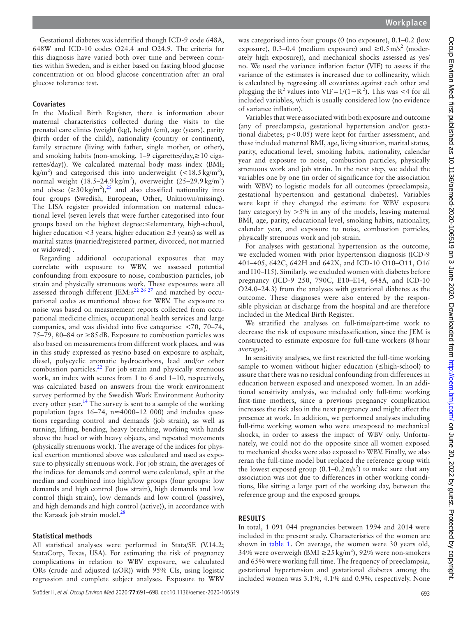Gestational diabetes was identified though ICD-9 code 648A, 648W and ICD-10 codes O24.4 and O24.9. The criteria for this diagnosis have varied both over time and between counties within Sweden, and is either based on fasting blood glucose concentration or on blood glucose concentration after an oral glucose tolerance test.

#### **Covariates**

In the Medical Birth Register, there is information about maternal characteristics collected during the visits to the prenatal care clinics (weight (kg), height (cm), age (years), parity (birth order of the child), nationality (country or continent), family structure (living with father, single mother, or other), and smoking habits (non-smoking, 1–9 cigarettes/day,≥10 cigarettes/day)). We calculated maternal body mass index (BMI; kg/m<sup>2</sup>) and categorised this into underweight (<18.5 kg/m<sup>2</sup>), normal weight  $(18.5-24.9 \text{ kg/m}^2)$ , overweight  $(25-29.9 \text{ kg/m}^2)$ and obese  $(\geq 30 \text{ kg/m}^2)$ ,<sup>25</sup> and also classified nationality into four groups (Swedish, European, Other, Unknown/missing). The LISA register provided information on maternal educational level (seven levels that were further categorised into four groups based on the highest degree:≤elementary, high-school, higher education <3 years, higher education ≥3 years) as well as marital status (married/registered partner, divorced, not married or widowed) .

Regarding additional occupational exposures that may correlate with exposure to WBV, we assessed potential confounding from exposure to noise, combustion particles, job strain and physically strenuous work. These exposures were all assessed through different JEM: $s^{22}$   $^{26}$   $^{27}$  and matched by occupational codes as mentioned above for WBV. The exposure to noise was based on measurement reports collected from occupational medicine clinics, occupational health services and large companies, and was divided into five categories: <70, 70–74, 75–79, 80–84 or ≥85dB. Exposure to combustion particles was also based on measurements from different work places, and was in this study expressed as yes/no based on exposure to asphalt, diesel, polycyclic aromatic hydrocarbons, lead and/or other combustion particles. $^{22}$  For job strain and physically strenuous work, an index with scores from 1 to 6 and 1–10, respectively, was calculated based on answers from the work environment survey performed by the Swedish Work Environment Authority every other year.<sup>14</sup> The survey is sent to a sample of the working population (ages 16–74, n≈4000–12 000) and includes questions regarding control and demands (job strain), as well as turning, lifting, bending, heavy breathing, working with hands above the head or with heavy objects, and repeated movements (physically strenuous work). The average of the indices for physical exertion mentioned above was calculated and used as exposure to physically strenuous work. For job strain, the averages of the indices for demands and control were calculated, split at the median and combined into high/low groups (four groups: low demands and high control (low strain), high demands and low control (high strain), low demands and low control (passive), and high demands and high control (active)), in accordance with the Karasek job strain model. $^{28}$  $^{28}$  $^{28}$ 

#### **Statistical methods**

All statistical analyses were performed in Stata/SE (V.14.2; StataCorp, Texas, USA). For estimating the risk of pregnancy complications in relation to WBV exposure, we calculated ORs (crude and adjusted (aOR)) with 95% CIs, using logistic regression and complete subject analyses. Exposure to WBV

was categorised into four groups (0 (no exposure), 0.1–0.2 (low exposure), 0.3–0.4 (medium exposure) and  $\geq 0.5 \text{ m/s}^2$  (moderately high exposure)), and mechanical shocks assessed as yes/ no. We used the variance inflation factor (VIF) to assess if the variance of the estimates is increased due to collinearity, which is calculated by regressing all covariates against each other and plugging the  $R^2$  values into VIF=1/(1– $R_i^2$ ). This was <4 for all included variables, which is usually considered low (no evidence of variance inflation).

Variables that were associated with both exposure and outcome (any of preeclampsia, gestational hypertension and/or gestational diabetes; p<0.05) were kept for further assessment, and these included maternal BMI, age, living situation, marital status, parity, educational level, smoking habits, nationality, calendar year and exposure to noise, combustion particles, physically strenuous work and job strain. In the next step, we added the variables one by one (in order of significance for the association with WBV) to logistic models for all outcomes (preeclampsia, gestational hypertension and gestational diabetes). Variables were kept if they changed the estimate for WBV exposure (any category) by  $>5\%$  in any of the models, leaving maternal BMI, age, parity, educational level, smoking habits, nationality, calendar year, and exposure to noise, combustion particles, physically strenuous work and job strain.

For analyses with gestational hypertension as the outcome, we excluded women with prior hypertension diagnosis (ICD-9 401–405, 642C, 642H and 642X, and ICD-10 O10–O11, O16 and I10–I15). Similarly, we excluded women with diabetes before pregnancy (ICD-9 250, 790C, E10–E14, 648A, and ICD-10 O24.0–24.3) from the analyses with gestational diabetes as the outcome. These diagnoses were also entered by the responsible physician at discharge from the hospital and are therefore included in the Medical Birth Register.

We stratified the analyses on full-time/part-time work to decrease the risk of exposure misclassification, since the JEM is constructed to estimate exposure for full-time workers (8hour averages).

In sensitivity analyses, we first restricted the full-time working sample to women without higher education (≤high-school) to assure that there was no residual confounding from differences in education between exposed and unexposed women. In an additional sensitivity analysis, we included only full-time working first-time mothers, since a previous pregnancy complication increases the risk also in the next pregnancy and might affect the presence at work. In addition, we performed analyses including full-time working women who were unexposed to mechanical shocks, in order to assess the impact of WBV only. Unfortunately, we could not do the opposite since all women exposed to mechanical shocks were also exposed to WBV. Finally, we also reran the full-time model but replaced the reference group with the lowest exposed group  $(0.1 - 0.2 \text{ m/s}^2)$  to make sure that any association was not due to differences in other working conditions, like sitting a large part of the working day, between the reference group and the exposed groups.

### **Results**

In total, 1 091 044 pregnancies between 1994 and 2014 were included in the present study. Characteristics of the women are shown in [table](#page-3-0) 1. On average, the women were 30 years old, 34% were overweigh (BMI  $\geq$ 25 kg/m<sup>2</sup>), 92% were non-smokers and 65% were working full time. The frequency of preeclampsia, gestational hypertension and gestational diabetes among the included women was 3.1%, 4.1% and 0.9%, respectively. None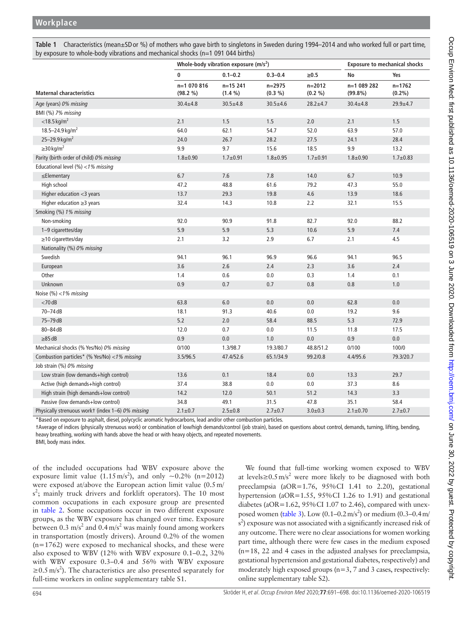<span id="page-3-0"></span>**Table 1** Characteristics (mean±SDor %) of mothers who gave birth to singletons in Sweden during 1994–2014 and who worked full or part time, by exposure to whole-body vibrations and mechanical shocks (n=1 091 044 births)

|                                                   | Whole-body vibration exposure $(m/s2)$ |                        |                          |                       | <b>Exposure to mechanical shocks</b> |                         |
|---------------------------------------------------|----------------------------------------|------------------------|--------------------------|-----------------------|--------------------------------------|-------------------------|
|                                                   | 0                                      | $0.1 - 0.2$            | $0.3 - 0.4$              | $\geq 0.5$            | No                                   | Yes                     |
| <b>Maternal characteristics</b>                   | n=1 070 816<br>(98.2 %)                | $n=15241$<br>$(1.4\%)$ | $n = 2975$<br>$(0.3\% )$ | $n = 2012$<br>(0.2 %) | n=1 089 282<br>(99.8%)               | $n = 1762$<br>$(0.2\%)$ |
| Age (years) 0% missing                            | $30.4 \pm 4.8$                         | $30.5 \pm 4.8$         | $30.5 + 4.6$             | $28.2 + 4.7$          | $30.4 \pm 4.8$                       | $29.9 + 4.7$            |
| BMI (%) 7% missing                                |                                        |                        |                          |                       |                                      |                         |
| $<$ 18.5 kg/m <sup>2</sup>                        | 2.1                                    | 1.5                    | 1.5                      | 2.0                   | 2.1                                  | 1.5                     |
| 18.5-24.9 kg/m <sup>2</sup>                       | 64.0                                   | 62.1                   | 54.7                     | 52.0                  | 63.9                                 | 57.0                    |
| 25-29.9 kg/m <sup>2</sup>                         | 24.0                                   | 26.7                   | 28.2                     | 27.5                  | 24.1                                 | 28.4                    |
| $\geq$ 30 kg/m <sup>2</sup>                       | 9.9                                    | 9.7                    | 15.6                     | 18.5                  | 9.9                                  | 13.2                    |
| Parity (birth order of child) 0% missing          | $1.8 + 0.90$                           | $1.7 + 0.91$           | $1.8 + 0.95$             | $1.7 + 0.91$          | $1.8 + 0.90$                         | $1.7 + 0.83$            |
| Educational level (%) <1% missing                 |                                        |                        |                          |                       |                                      |                         |
| $\leq$ Elementary                                 | 6.7                                    | 7.6                    | 7.8                      | 14.0                  | 6.7                                  | 10.9                    |
| High school                                       | 47.2                                   | 48.8                   | 61.6                     | 79.2                  | 47.3                                 | 55.0                    |
| Higher education <3 years                         | 13.7                                   | 29.3                   | 19.8                     | 4.6                   | 13.9                                 | 18.6                    |
| Higher education $\geq$ 3 years                   | 32.4                                   | 14.3                   | 10.8                     | 2.2                   | 32.1                                 | 15.5                    |
| Smoking (%) 1% missing                            |                                        |                        |                          |                       |                                      |                         |
| Non-smoking                                       | 92.0                                   | 90.9                   | 91.8                     | 82.7                  | 92.0                                 | 88.2                    |
| 1-9 cigarettes/day                                | 5.9                                    | 5.9                    | 5.3                      | 10.6                  | 5.9                                  | 7.4                     |
| ≥10 cigarettes/day                                | 2.1                                    | 3.2                    | 2.9                      | 6.7                   | 2.1                                  | 4.5                     |
| Nationality (%) 0% missing                        |                                        |                        |                          |                       |                                      |                         |
| Swedish                                           | 94.1                                   | 96.1                   | 96.9                     | 96.6                  | 94.1                                 | 96.5                    |
| European                                          | 3.6                                    | 2.6                    | $2.4$                    | 2.3                   | 3.6                                  | 2.4                     |
| Other                                             | 1.4                                    | 0.6                    | 0.0                      | 0.3                   | 1.4                                  | 0.1                     |
| <b>Unknown</b>                                    | 0.9                                    | 0.7                    | 0.7                      | 0.8                   | 0.8                                  | 1.0                     |
| Noise $(\%)$ < 1% missing                         |                                        |                        |                          |                       |                                      |                         |
| $<$ 70 dB                                         | 63.8                                   | 6.0                    | 0.0                      | 0.0                   | 62.8                                 | 0.0                     |
| 70-74 dB                                          | 18.1                                   | 91.3                   | 40.6                     | 0.0                   | 19.2                                 | 9.6                     |
| 75-79 dB                                          | 5.2                                    | 2.0                    | 58.4                     | 88.5                  | 5.3                                  | 72.9                    |
| 80-84 dB                                          | 12.0                                   | 0.7                    | 0.0                      | 11.5                  | 11.8                                 | 17.5                    |
| $\geq$ 85 dB                                      | 0.9                                    | 0.0                    | 1.0                      | 0.0                   | 0.9                                  | 0.0                     |
| Mechanical shocks (% Yes/No) 0% missing           | 0/100                                  | 1.3/98.7               | 19.3/80.7                | 48.8/51.2             | 0/100                                | 100/0                   |
| Combustion particles* (% Yes/No) <1% missing      | 3.5/96.5                               | 47.4/52.6              | 65.1/34.9                | 99.2/0.8              | 4.4/95.6                             | 79.3/20.7               |
| Job strain (%) 0% missing                         |                                        |                        |                          |                       |                                      |                         |
| Low strain (low demands+high control)             | 13.6                                   | 0.1                    | 18.4                     | 0.0                   | 13.3                                 | 29.7                    |
| Active (high demands+high control)                | 37.4                                   | 38.8                   | 0.0                      | 0.0                   | 37.3                                 | 8.6                     |
| High strain (high demands+low control)            | 14.2                                   | 12.0                   | 50.1                     | 51.2                  | 14.3                                 | 3.3                     |
| Passive (low demands+low control)                 | 34.8                                   | 49.1                   | 31.5                     | 47.8                  | 35.1                                 | 58.4                    |
| Physically strenuous workt (index 1-6) 0% missing | $2.1 \pm 0.7$                          | $2.5 \pm 0.8$          | $2.7 + 0.7$              | $3.0 + 0.3$           | $2.1 \pm 0.70$                       | $2.7 + 0.7$             |

\*Based on exposure to asphalt, diesel, polycyclic aromatic hydrocarbons, lead and/or other combustion particles.

†Average of indices (physically strenuous work) or combination of low/high demands/control (job strain), based on questions about control, demands, turning, lifting, bending, heavy breathing, working with hands above the head or with heavy objects, and repeated movements.

BMI, body mass index.

of the included occupations had WBV exposure above the exposure limit value  $(1.15 \text{ m/s}^2)$ , and only  $\sim 0.2\%$  (n=2012) were exposed at/above the European action limit value (0.5m/ s<sup>2</sup>; mainly truck drivers and forklift operators). The 10 most common occupations in each exposure group are presented in [table](#page-4-0) 2. Some occupations occur in two different exposure groups, as the WBV exposure has changed over time. Exposure between 0.3 m/s<sup>2</sup> and 0.4 m/s<sup>2</sup> was mainly found among workers in transportation (mostly drivers). Around 0.2% of the women  $(n=1762)$  were exposed to mechanical shocks, and these were also exposed to WBV (12% with WBV exposure 0.1–0.2, 32% with WBV exposure 0.3–0.4 and 56% with WBV exposure  $\geq$ 0.5 m/s<sup>2</sup>). The characteristics are also presented separately for full-time workers in [online supplementary table S1](https://dx.doi.org/10.1136/oemed-2020-106519).

We found that full-time working women exposed to WBV at levels≥0.5 m/s<sup>2</sup> were more likely to be diagnosed with both preeclampsia (aOR=1.76, 95%CI 1.41 to 2.20), gestational hypertension (aOR=1.55, 95%CI 1.26 to 1.91) and gestational diabetes (aOR=1.62,  $95\%$ CI 1.07 to 2.46), compared with unex-posed women [\(table](#page-4-1) 3). Low  $(0.1 - 0.2 \text{ m/s}^2)$  or medium  $(0.3 - 0.4 \text{ m/s}^2)$ s<sup>2</sup>) exposure was not associated with a significantly increased risk of any outcome. There were no clear associations for women working part time, although there were few cases in the medium exposed (n=18, 22 and 4 cases in the adjusted analyses for preeclampsia, gestational hypertension and gestational diabetes, respectively) and moderately high exposed groups (n=3, 7 and 3 cases, respectively: [online supplementary table S2](https://dx.doi.org/10.1136/oemed-2020-106519)).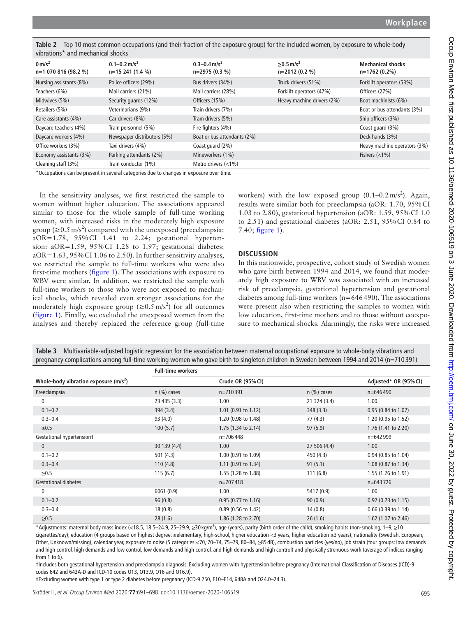<span id="page-4-0"></span>**Table 2** Top 10 most common occupations (and their fraction of the exposure group) for the included women, by exposure to whole-body vibrations\* and mechanical shocks

| $0 m/s^2$<br>n=1 070 816 (98.2 %) | $0.1 - 0.2$ m/s <sup>2</sup><br>$n=15241(1.4\%)$ | $0.3 - 0.4$ m/s <sup>2</sup><br>$n=2975(0.3%)$ | $>0.5 \,\mathrm{m/s^2}$<br>$n=2012(0.2%)$ | <b>Mechanical shocks</b><br>$n=1762(0.2\%)$ |  |  |  |
|-----------------------------------|--------------------------------------------------|------------------------------------------------|-------------------------------------------|---------------------------------------------|--|--|--|
| Nursing assistants (8%)           | Police officers (29%)                            | Bus drivers (34%)                              | Truck drivers (51%)                       | Forklift operators (53%)                    |  |  |  |
| Teachers (6%)                     | Mail carriers (21%)                              | Mail carriers (28%)                            | Forklift operators (47%)                  | Officers (27%)                              |  |  |  |
| Midwives (5%)                     | Security guards (12%)                            | Officers (15%)                                 | Heavy machine drivers (2%)                | Boat machinists (6%)                        |  |  |  |
| Retailers (5%)                    | Veterinarians (9%)                               | Train drivers (7%)                             |                                           | Boat or bus attendants (3%)                 |  |  |  |
| Care assistants (4%)              | Car drivers (8%)                                 | Tram drivers (5%)                              |                                           | Ship officers (3%)                          |  |  |  |
| Daycare teachers (4%)             | Train personnel (5%)                             | Fire fighters (4%)                             |                                           | Coast quard (3%)                            |  |  |  |
| Daycare workers (4%)              | Newspaper distributors (5%)                      | Boat or bus attendants (2%)                    |                                           | Deck hands (3%)                             |  |  |  |
| Office workers (3%)               | Taxi drivers (4%)                                | Coast quard (2%)                               |                                           | Heavy machine operators (3%)                |  |  |  |
| Economy assistants (3%)           | Parking attendants (2%)                          | Mineworkers (1%)                               |                                           | Fishers $(<1%)$                             |  |  |  |
| Cleaning staff (3%)               | Train conductor (1%)                             | Metro drivers $(<1%)$                          |                                           |                                             |  |  |  |

\*Occupations can be present in several categories due to changes in exposure over time.

In the sensitivity analyses, we first restricted the sample to women without higher education. The associations appeared similar to those for the whole sample of full-time working women, with increased risks in the moderately high exposure group ( $\geq 0.5$  m/s<sup>2</sup>) compared with the unexposed (preeclampsia:  $aOR=1.78$ ,  $95\%$ CI 1.41 to 2.24; gestational hypertension: aOR=1.59, 95%CI 1.28 to 1.97; gestational diabetes: aOR=1.63, 95%CI 1.06 to 2.50). In further sensitivity analyses, we restricted the sample to full-time workers who were also first-time mothers ([figure](#page-5-0) 1). The associations with exposure to WBV were similar. In addition, we restricted the sample with full-time workers to those who were not exposed to mechanical shocks, which revealed even stronger associations for the moderately high exposure group ( $\geq 0.5$  m/s<sup>2</sup>) for all outcomes ([figure](#page-5-0) 1). Finally, we excluded the unexposed women from the analyses and thereby replaced the reference group (full-time

workers) with the low exposed group  $(0.1 - 0.2 \text{ m/s}^2)$ . Again, results were similar both for preeclampsia (aOR: 1.70, 95%CI 1.03 to 2.80), gestational hypertension (aOR: 1.59, 95%CI 1.0 to 2.51) and gestational diabetes (aOR: 2.51, 95%CI 0.84 to 7.40; [figure](#page-5-0) 1).

## **Discussion**

In this nationwide, prospective, cohort study of Swedish women who gave birth between 1994 and 2014, we found that moderately high exposure to WBV was associated with an increased risk of preeclampsia, gestational hypertension and gestational diabetes among full-time workers (n=646490). The associations were present also when restricting the samples to women with low education, first-time mothers and to those without coexposure to mechanical shocks. Alarmingly, the risks were increased

<span id="page-4-1"></span>**Table 3** Multivariable-adjusted logistic regression for the association between maternal occupational exposure to whole-body vibrations and pregnancy complications among full-time working women who gave birth to singleton children in Sweden between 1994 and 2014 (n=710 391)

|                                         | <b>Full-time workers</b> |                       |               |                               |  |  |
|-----------------------------------------|--------------------------|-----------------------|---------------|-------------------------------|--|--|
| Whole-body vibration exposure $(m/s^2)$ |                          | Crude OR (95% CI)     |               | Adjusted* OR (95% CI)         |  |  |
| Preeclampsia                            | $n$ (%) cases            | $n=710391$            | $n$ (%) cases | $n=646490$                    |  |  |
| 0                                       | 23 435 (3.3)             | 1.00                  | 21 324 (3.4)  | 1.00                          |  |  |
| $0.1 - 0.2$                             | 394 (3.4)                | 1.01 (0.91 to 1.12)   | 348(3.3)      | $0.95(0.84 \text{ to } 1.07)$ |  |  |
| $0.3 - 0.4$                             | 93 (4.0)                 | 1.20 (0.98 to 1.48)   | 77(4.3)       | 1.20 (0.95 to 1.52)           |  |  |
| $\geq 0.5$                              | 100(5.7)                 | 1.75 (1.34 to 2.14)   | 97(5.9)       | 1.76 (1.41 to 2.20)           |  |  |
| Gestational hypertension+               |                          | $n=706448$            |               | $n=642999$                    |  |  |
| $\mathbf{0}$                            | 30 139 (4.4)             | 1.00                  | 27 506 (4.4)  | 1.00                          |  |  |
| $0.1 - 0.2$                             | 501(4.3)                 | 1.00 (0.91 to 1.09)   | 450 (4.3)     | $0.94$ (0.85 to 1.04)         |  |  |
| $0.3 - 0.4$                             | 110(4.8)                 | 1.11 (0.91 to 1.34)   | 91(5.1)       | 1.08 (0.87 to 1.34)           |  |  |
| $\geq 0.5$                              | 115(6.7)                 | 1.55 (1.28 to 1.88)   | 111(6.8)      | 1.55 (1.26 to 1.91)           |  |  |
| <b>Gestational diabetes</b>             |                          | $n=707418$            |               | $n=643726$                    |  |  |
| 0                                       | 6061(0.9)                | 1.00                  | 5417 (0.9)    | 1.00                          |  |  |
| $0.1 - 0.2$                             | 96(0.8)                  | $0.95(0.77)$ to 1.16) | 90(0.9)       | $0.92$ (0.73 to 1.15)         |  |  |
| $0.3 - 0.4$                             | 18(0.8)                  | $0.89$ (0.56 to 1.42) | 14(0.8)       | $0.66$ (0.39 to 1.14)         |  |  |
| $\geq 0.5$                              | 28(1.6)                  | 1.86 (1.28 to 2.70)   | 26(1.6)       | 1.62 (1.07 to 2.46)           |  |  |

\*Adjustments: maternal body mass index (<18.5, 18.5–24.9, 25–29.9, ≥30 kg/m<sup>2</sup>), age (years), parity (birth order of the child), smoking habits (non-smoking, 1–9, ≥10 cigarettes/day), education (4 groups based on highest degree: ≤elementary, high-school, higher education <3 years, higher education ≥3 years), nationality (Swedish, European, Other, Unknown/missing), calendar year, exposure to noise (5 categories:<70, 70–74, 75–79, 80–84, ≥85 dB), combustion particles (yes/no), job strain (four groups: low demands and high control, high demands and low control, low demands and high control, and high demands and high control) and physically strenuous work (average of indices ranging from 1 to 6).

†Includes both gestational hypertension and preeclampsia diagnosis. Excluding women with hypertension before pregnancy (International Classification of Diseases (ICD)-9 codes 642 and 642A-D and ICD-10 codes O13, O13.9, O16 and O16.9).

‡Excluding women with type 1 or type 2 diabetes before pregnancy (ICD-9 250, E10–E14, 648A and O24.0–24.3).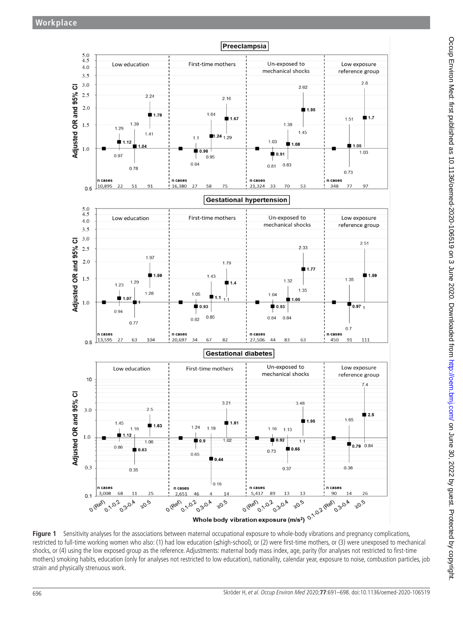

<span id="page-5-0"></span>restricted to full-time working women who also: (1) had low education (≤high-school), or (2) were first-time mothers, or (3) were unexposed to mechanical shocks, or (4) using the low exposed group as the reference. Adjustments: maternal body mass index, age, parity (for analyses not restricted to first-time mothers) smoking habits, education (only for analyses not restricted to low education), nationality, calendar year, exposure to noise, combustion particles, job strain and physically strenuous work.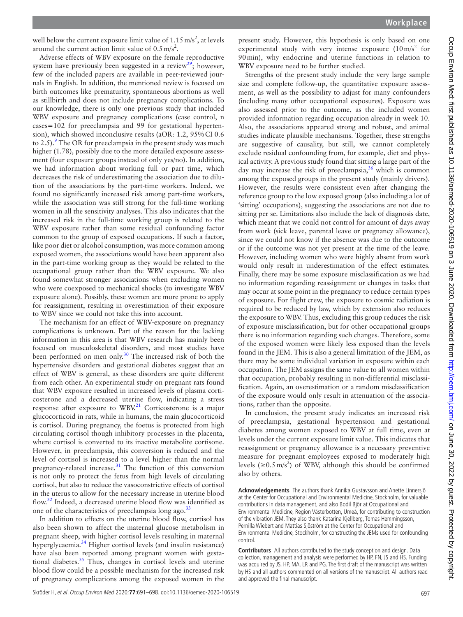well below the current exposure limit value of  $1.15 \text{ m/s}^2$ , at levels around the current action limit value of  $0.5 \text{ m/s}^2$ .

Adverse effects of WBV exposure on the female reproductive system have previously been suggested in a review<sup>[29](#page-7-18)</sup>; however, few of the included papers are available in peer-reviewed journals in English. In addition, the mentioned review is focused on birth outcomes like prematurity, spontaneous abortions as well as stillbirth and does not include pregnancy complications. To our knowledge, there is only one previous study that included WBV exposure and pregnancy complications (case control, n cases=102 for preeclampsia and 99 for gestational hypertension), which showed inconclusive results (aOR: 1.2, 95% CI 0.6 to 2.5).<sup>[9](#page-7-6)</sup> The OR for preeclampsia in the present study was much higher (1.78), possibly due to the more detailed exposure assessment (four exposure groups instead of only yes/no). In addition, we had information about working full or part time, which decreases the risk of underestimating the association due to dilution of the associations by the part-time workers. Indeed, we found no significantly increased risk among part-time workers, while the association was still strong for the full-time working women in all the sensitivity analyses. This also indicates that the increased risk in the full-time working group is related to the WBV exposure rather than some residual confounding factor common to the group of exposed occupations. If such a factor, like poor diet or alcohol consumption, was more common among exposed women, the associations would have been apparent also in the part-time working group as they would be related to the occupational group rather than the WBV exposure. We also found somewhat stronger associations when excluding women who were coexposed to mechanical shocks (to investigate WBV exposure alone). Possibly, these women are more prone to apply for reassignment, resulting in overestimation of their exposure to WBV since we could not take this into account.

The mechanism for an effect of WBV-exposure on pregnancy complications is unknown. Part of the reason for the lacking information in this area is that WBV research has mainly been focused on musculoskeletal disorders, and most studies have been performed on men only. $30$  The increased risk of both the hypertensive disorders and gestational diabetes suggest that an effect of WBV is general, as these disorders are quite different from each other. An experimental study on pregnant rats found that WBV exposure resulted in increased levels of plasma corticosterone and a decreased uterine flow, indicating a stress response after exposure to WBV.<sup>[21](#page-7-12)</sup> Corticosterone is a major glucocorticoid in rats, while in humans, the main glucocorticoid is cortisol. During pregnancy, the foetus is protected from high circulating cortisol though inhibitory processes in the placenta, where cortisol is converted to its inactive metabolite cortisone. However, in preeclampsia, this conversion is reduced and the level of cortisol is increased to a level higher than the normal pregnancy-related increase. $31$  The function of this conversion is not only to protect the fetus from high levels of circulating cortisol, but also to reduce the vasoconstrictive effects of cortisol in the uterus to allow for the necessary increase in uterine blood flow.[32](#page-7-21) Indeed, a decreased uterine blood flow was identified as one of the characteristics of preeclampsia long ago.<sup>33</sup>

In addition to effects on the uterine blood flow, cortisol has also been shown to affect the maternal glucose metabolism in pregnant sheep, with higher cortisol levels resulting in maternal hyperglycaemia.<sup>34</sup> Higher cortisol levels (and insulin resistance) have also been reported among pregnant women with gestational diabetes. $35$  Thus, changes in cortisol levels and uterine blood flow could be a possible mechanism for the increased risk of pregnancy complications among the exposed women in the

present study. However, this hypothesis is only based on one experimental study with very intense exposure  $(10 \text{ m/s}^2)$  for 90min), why endocrine and uterine functions in relation to WBV exposure need to be further studied.

Strengths of the present study include the very large sample size and complete follow-up, the quantitative exposure assessment, as well as the possibility to adjust for many confounders (including many other occupational exposures). Exposure was also assessed prior to the outcome, as the included women provided information regarding occupation already in week 10. Also, the associations appeared strong and robust, and animal studies indicate plausible mechanisms. Together, these strengths are suggestive of causality, but still, we cannot completely exclude residual confounding from, for example, diet and physical activity. A previous study found that sitting a large part of the day may increase the risk of preeclampsia,  $36$  which is common among the exposed groups in the present study (mainly drivers). However, the results were consistent even after changing the reference group to the low exposed group (also including a lot of 'sitting' occupations), suggesting the associations are not due to sitting per se. Limitations also include the lack of diagnosis date, which meant that we could not control for amount of days away from work (sick leave, parental leave or pregnancy allowance), since we could not know if the absence was due to the outcome or if the outcome was not yet present at the time of the leave. However, including women who were highly absent from work would only result in underestimation of the effect estimates. Finally, there may be some exposure misclassification as we had no information regarding reassignment or changes in tasks that may occur at some point in the pregnancy to reduce certain types of exposure. For flight crew, the exposure to cosmic radiation is required to be reduced by law, which by extension also reduces the exposure to WBV. Thus, excluding this group reduces the risk of exposure misclassification, but for other occupational groups there is no information regarding such changes. Therefore, some of the exposed women were likely less exposed than the levels found in the JEM. This is also a general limitation of the JEM, as there may be some individual variation in exposure within each occupation. The JEM assigns the same value to all women within that occupation, probably resulting in non-differential misclassification. Again, an overestimation or a random misclassification of the exposure would only result in attenuation of the associations, rather than the opposite.

In conclusion, the present study indicates an increased risk of preeclampsia, gestational hypertension and gestational diabetes among women exposed to WBV at full time, even at levels under the current exposure limit value. This indicates that reassignment or pregnancy allowance is a necessary preventive measure for pregnant employees exposed to moderately high levels ( $\geq 0.5 \text{ m/s}^2$ ) of WBV, although this should be confirmed also by others.

**Acknowledgements** The authors thank Annika Gustavsson and Anette Linnersjö at the Center for Occupational and Environmental Medicine, Stockholm, for valuable contributions in data management, and also Bodil Björ at Occupational and Environmental Medicine, Region Västerbotten, Umeå, for contributing to construction of the vibration JEM. They also thank Katarina Kjellberg, Tomas Hemmingsson, Pernilla Wiebert and Mattias Sjöström at the Center for Occupational and Environmental Medicine, Stockholm, for constructing the JEMs used for confounding control.

**Contributors** All authors contributed to the study conception and design. Data collection, management and analysis were performed by HP, FN, JS and HS. Funding was acquired by JS, HP, MA, LR and PG. The first draft of the manuscript was written by HS and all authors commented on all versions of the manuscript. All authors read and approved the final manuscript.